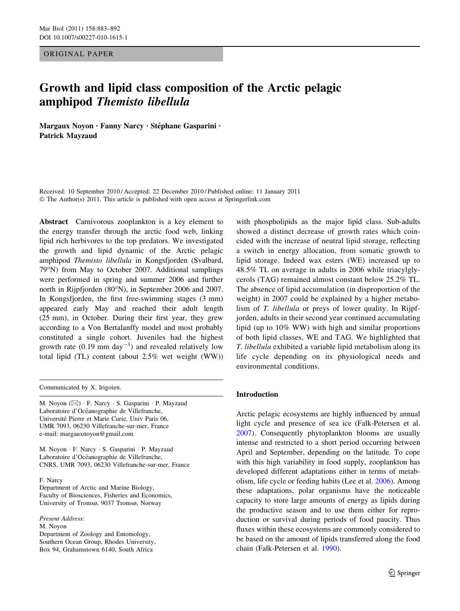ORIGINAL PAPER

# Growth and lipid class composition of the Arctic pelagic amphipod Themisto libellula

Margaux Noyon · Fanny Narcy · Stéphane Gasparini · Patrick Mayzaud

Received: 10 September 2010 / Accepted: 22 December 2010 / Published online: 11 January 2011 © The Author(s) 2011. This article is published with open access at Springerlink.com

Abstract Carnivorous zooplankton is a key element to the energy transfer through the arctic food web, linking lipid rich herbivores to the top predators. We investigated the growth and lipid dynamic of the Arctic pelagic amphipod Themisto libellula in Kongsfjorden (Svalbard, 79°N) from May to October 2007. Additional samplings were performed in spring and summer 2006 and further north in Rijpfjorden (80°N), in September 2006 and 2007. In Kongsfjorden, the first free-swimming stages (3 mm) appeared early May and reached their adult length (25 mm), in October. During their first year, they grew according to a Von Bertalanffy model and most probably constituted a single cohort. Juveniles had the highest growth rate  $(0.19 \text{ mm day}^{-1})$  and revealed relatively low total lipid (TL) content (about 2.5% wet weight (WW))

Communicated by X. Irigoien.

M. Noyon (⊠) · F. Narcy · S. Gasparini · P. Mayzaud Laboratoire d'Océanographie de Villefranche, Université Pierre et Marie Curie, Univ Paris 06, UMR 7093, 06230 Villefranche-sur-mer, France e-mail: margauxnoyon@gmail.com

M. Noyon - F. Narcy - S. Gasparini - P. Mayzaud Laboratoire d'Océanographie de Villefranche, CNRS, UMR 7093, 06230 Villefranche-sur-mer, France

F. Narcy

Department of Arctic and Marine Biology, Faculty of Biosciences, Fisheries and Economics, University of Tromsø, 9037 Tromsø, Norway

Present Address: M. Noyon Department of Zoology and Entomology, Southern Ocean Group, Rhodes University, Box 94, Grahamstown 6140, South Africa

with phospholipids as the major lipid class. Sub-adults showed a distinct decrease of growth rates which coincided with the increase of neutral lipid storage, reflecting a switch in energy allocation, from somatic growth to lipid storage. Indeed wax esters (WE) increased up to 48.5% TL on average in adults in 2006 while triacylglycerols (TAG) remained almost constant below 25.2% TL. The absence of lipid accumulation (in disproportion of the weight) in 2007 could be explained by a higher metabolism of T. libellula or preys of lower quality. In Rijpfjorden, adults in their second year continued accumulating lipid (up to 10% WW) with high and similar proportions of both lipid classes, WE and TAG. We highlighted that T. libellula exhibited a variable lipid metabolism along its life cycle depending on its physiological needs and environmental conditions.

## Introduction

Arctic pelagic ecosystems are highly influenced by annual light cycle and presence of sea ice (Falk-Petersen et al. [2007](#page-8-0)). Consequently phytoplankton blooms are usually intense and restricted to a short period occurring between April and September, depending on the latitude. To cope with this high variability in food supply, zooplankton has developed different adaptations either in terms of metabolism, life cycle or feeding habits (Lee et al. [2006\)](#page-8-0). Among these adaptations, polar organisms have the noticeable capacity to store large amounts of energy as lipids during the productive season and to use them either for reproduction or survival during periods of food paucity. Thus fluxes within these ecosystems are commonly considered to be based on the amount of lipids transferred along the food chain (Falk-Petersen et al. [1990](#page-8-0)).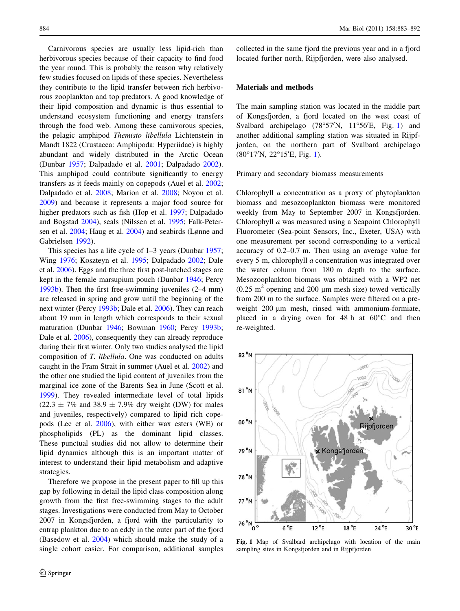Carnivorous species are usually less lipid-rich than herbivorous species because of their capacity to find food the year round. This is probably the reason why relatively few studies focused on lipids of these species. Nevertheless they contribute to the lipid transfer between rich herbivorous zooplankton and top predators. A good knowledge of their lipid composition and dynamic is thus essential to understand ecosystem functioning and energy transfers through the food web. Among these carnivorous species, the pelagic amphipod Themisto libellula Lichtenstein in Mandt 1822 (Crustacea: Amphipoda: Hyperiidae) is highly abundant and widely distributed in the Arctic Ocean (Dunbar [1957;](#page-8-0) Dalpadado et al. [2001;](#page-8-0) Dalpadado [2002](#page-8-0)). This amphipod could contribute significantly to energy transfers as it feeds mainly on copepods (Auel et al. [2002](#page-8-0); Dalpadado et al. [2008;](#page-8-0) Marion et al. [2008;](#page-9-0) Noyon et al. [2009\)](#page-9-0) and because it represents a major food source for higher predators such as fish (Hop et al. [1997;](#page-8-0) Dalpadado and Bogstad [2004](#page-8-0)), seals (Nilssen et al. [1995;](#page-9-0) Falk-Petersen et al. [2004](#page-8-0); Haug et al. [2004](#page-8-0)) and seabirds (Lønne and Gabrielsen [1992\)](#page-8-0).

This species has a life cycle of  $1-3$  years (Dunbar [1957](#page-8-0); Wing [1976](#page-9-0); Koszteyn et al. [1995;](#page-8-0) Dalpadado [2002;](#page-8-0) Dale et al. [2006](#page-8-0)). Eggs and the three first post-hatched stages are kept in the female marsupium pouch (Dunbar [1946](#page-8-0); Percy [1993b\)](#page-9-0). Then the first free-swimming juveniles (2–4 mm) are released in spring and grow until the beginning of the next winter (Percy [1993b;](#page-9-0) Dale et al. [2006](#page-8-0)). They can reach about 19 mm in length which corresponds to their sexual maturation (Dunbar [1946](#page-8-0); Bowman [1960](#page-8-0); Percy [1993b](#page-9-0); Dale et al. [2006](#page-8-0)), consequently they can already reproduce during their first winter. Only two studies analysed the lipid composition of T. libellula. One was conducted on adults caught in the Fram Strait in summer (Auel et al. [2002\)](#page-8-0) and the other one studied the lipid content of juveniles from the marginal ice zone of the Barents Sea in June (Scott et al. [1999\)](#page-9-0). They revealed intermediate level of total lipids  $(22.3 \pm 7\%$  and 38.9  $\pm 7.9\%$  dry weight (DW) for males and juveniles, respectively) compared to lipid rich copepods (Lee et al. [2006](#page-8-0)), with either wax esters (WE) or phospholipids (PL) as the dominant lipid classes. These punctual studies did not allow to determine their lipid dynamics although this is an important matter of interest to understand their lipid metabolism and adaptive strategies.

Therefore we propose in the present paper to fill up this gap by following in detail the lipid class composition along growth from the first free-swimming stages to the adult stages. Investigations were conducted from May to October 2007 in Kongsfjorden, a fjord with the particularity to entrap plankton due to an eddy in the outer part of the fjord (Basedow et al. [2004](#page-8-0)) which should make the study of a single cohort easier. For comparison, additional samples collected in the same fjord the previous year and in a fjord located further north, Rijpfjorden, were also analysed.

## Materials and methods

The main sampling station was located in the middle part of Kongsfjorden, a fjord located on the west coast of Svalbard archipelago (78°57'N, 11°56'E, Fig. 1) and another additional sampling station was situated in Rijpfjorden, on the northern part of Svalbard archipelago (80°17'N, 22°15'E, Fig. 1).

Primary and secondary biomass measurements

Chlorophyll a concentration as a proxy of phytoplankton biomass and mesozooplankton biomass were monitored weekly from May to September 2007 in Kongsfjorden. Chlorophyll a was measured using a Seapoint Chlorophyll Fluorometer (Sea-point Sensors, Inc., Exeter, USA) with one measurement per second corresponding to a vertical accuracy of 0.2–0.7 m. Then using an average value for every 5 m, chlorophyll a concentration was integrated over the water column from 180 m depth to the surface. Mesozooplankton biomass was obtained with a WP2 net  $(0.25 \text{ m}^2$  opening and 200 µm mesh size) towed vertically from 200 m to the surface. Samples were filtered on a preweight 200  $\mu$ m mesh, rinsed with ammonium-formiate, placed in a drying oven for  $48 h$  at  $60^{\circ}$ C and then re-weighted.



Fig. 1 Map of Svalbard archipelago with location of the main sampling sites in Kongsfjorden and in Rijpfjorden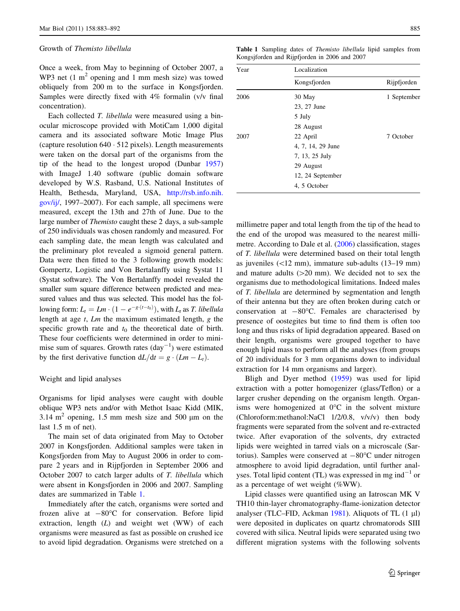#### Growth of Themisto libellula

Once a week, from May to beginning of October 2007, a WP3 net  $(1 \text{ m}^2)$  opening and 1 mm mesh size) was towed obliquely from 200 m to the surface in Kongsfjorden. Samples were directly fixed with 4% formalin (v/v final concentration).

Each collected T. libellula were measured using a binocular microscope provided with MotiCam 1,000 digital camera and its associated software Motic Image Plus (capture resolution 640 - 512 pixels). Length measurements were taken on the dorsal part of the organisms from the tip of the head to the longest uropod (Dunbar [1957\)](#page-8-0) with ImageJ 1.40 software (public domain software developed by W.S. Rasband, U.S. National Institutes of Health, Bethesda, Maryland, USA, [http://rsb.info.nih.](http://rsb.info.nih.gov/ij/) [gov/ij/](http://rsb.info.nih.gov/ij/), 1997–2007). For each sample, all specimens were measured, except the 13th and 27th of June. Due to the large number of Themisto caught these 2 days, a sub-sample of 250 individuals was chosen randomly and measured. For each sampling date, the mean length was calculated and the preliminary plot revealed a sigmoid general pattern. Data were then fitted to the 3 following growth models: Gompertz, Logistic and Von Bertalanffy using Systat 11 (Systat software). The Von Bertalanffy model revealed the smaller sum square difference between predicted and measured values and thus was selected. This model has the following form:  $L_t = Lm \cdot (1 - e^{-g \cdot (t - t_0)})$ , with  $L_t$  as *T. libellula* length at age  $t$ ,  $Lm$  the maximum estimated length, g the specific growth rate and  $t_0$  the theoretical date of birth. These four coefficients were determined in order to minimise sum of squares. Growth rates  $\text{(day}^{-1})$  were estimated by the first derivative function  $dL/dt = g \cdot (Lm - L_t)$ .

### Weight and lipid analyses

Organisms for lipid analyses were caught with double oblique WP3 nets and/or with Methot Isaac Kidd (MIK, 3.14  $m<sup>2</sup>$  opening, 1.5 mm mesh size and 500 µm on the last 1.5 m of net).

The main set of data originated from May to October 2007 in Kongsfjorden. Additional samples were taken in Kongsfjorden from May to August 2006 in order to compare 2 years and in Rijpfjorden in September 2006 and October 2007 to catch larger adults of T. libellula which were absent in Kongsfjorden in 2006 and 2007. Sampling dates are summarized in Table 1.

Immediately after the catch, organisms were sorted and frozen alive at  $-80^{\circ}$ C for conservation. Before lipid extraction, length  $(L)$  and weight wet (WW) of each organisms were measured as fast as possible on crushed ice to avoid lipid degradation. Organisms were stretched on a

Table 1 Sampling dates of *Themisto libellula* lipid samples from Kongsjforden and Rijpfjorden in 2006 and 2007

| Year | Localization      |             |  |  |
|------|-------------------|-------------|--|--|
|      | Kongsfjorden      | Rijpfjorden |  |  |
| 2006 | 30 May            | 1 September |  |  |
|      | 23, 27 June       |             |  |  |
|      | 5 July            |             |  |  |
|      | 28 August         |             |  |  |
| 2007 | 22 April          | 7 October   |  |  |
|      | 4, 7, 14, 29 June |             |  |  |
|      | 7, 13, 25 July    |             |  |  |
|      | 29 August         |             |  |  |
|      | 12, 24 September  |             |  |  |
|      | 4, 5 October      |             |  |  |

millimetre paper and total length from the tip of the head to the end of the uropod was measured to the nearest millimetre. According to Dale et al. [\(2006](#page-8-0)) classification, stages of T. libellula were determined based on their total length as juveniles  $(\langle 12 \text{ mm}),$  immature sub-adults  $(13-19 \text{ mm})$ and mature adults  $(>=20$  mm). We decided not to sex the organisms due to methodological limitations. Indeed males of T. libellula are determined by segmentation and length of their antenna but they are often broken during catch or conservation at  $-80^{\circ}$ C. Females are characterised by presence of oostegites but time to find them is often too long and thus risks of lipid degradation appeared. Based on their length, organisms were grouped together to have enough lipid mass to perform all the analyses (from groups of 20 individuals for 3 mm organisms down to individual extraction for 14 mm organisms and larger).

Bligh and Dyer method [\(1959](#page-8-0)) was used for lipid extraction with a potter homogenizer (glass/Teflon) or a larger crusher depending on the organism length. Organisms were homogenized at  $0^{\circ}$ C in the solvent mixture (Chloroform:methanol:NaCl 1/2/0.8, v/v/v) then body fragments were separated from the solvent and re-extracted twice. After evaporation of the solvents, dry extracted lipids were weighted in tarred vials on a microscale (Sartorius). Samples were conserved at  $-80^{\circ}$ C under nitrogen atmosphere to avoid lipid degradation, until further analyses. Total lipid content (TL) was expressed in mg ind<sup>-1</sup> or as a percentage of wet weight (%WW).

Lipid classes were quantified using an Iatroscan MK V TH10 thin-layer chromatography-flame-ionization detector analyser (TLC–FID, Ackman  $1981$ ). Aliquots of TL (1 µl) were deposited in duplicates on quartz chromatorods SIII covered with silica. Neutral lipids were separated using two different migration systems with the following solvents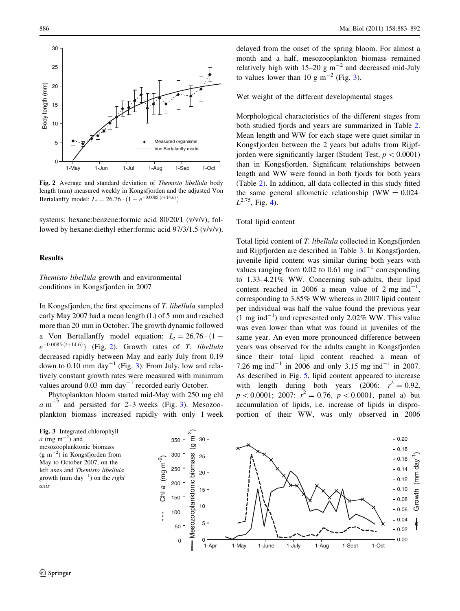

Fig. 2 Average and standard deviation of Themisto libellula body length (mm) measured weekly in Kongsfjorden and the adjusted Von Bertalanffy model:  $L_t = 26.76 \cdot (1 - e^{-0.0085 \cdot (t + 14.6)})$ 

systems: hexane:benzene:formic acid 80/20/1 (v/v/v), followed by hexane:diethyl ether:formic acid 97/3/1.5 (v/v/v).

## Results

Themisto libellula growth and environmental conditions in Kongsfjorden in 2007

In Kongsfjorden, the first specimens of T. libellula sampled early May 2007 had a mean length (L) of 5 mm and reached more than 20 mm in October. The growth dynamic followed a Von Bertallanffy model equation:  $L_t = 26.76 \cdot (1$  $e^{-0.0085 \cdot (t+14.6)}$ ) (Fig. 2). Growth rates of T. libellula decreased rapidly between May and early July from 0.19 down to 0.10 mm day<sup>-1</sup> (Fig. 3). From July, low and relatively constant growth rates were measured with minimum values around  $0.03$  mm day<sup>-1</sup> recorded early October.

Phytoplankton bloom started mid-May with 250 mg chl  $a$  m<sup>-2</sup> and persisted for 2-3 weeks (Fig. 3). Mesozooplankton biomass increased rapidly with only 1 week

Fig. 3 Integrated chlorophyll  $a \text{ (mg m}^{-2})$  and mesozooplanktonic biomass  $(g \text{ m}^{-2})$  in Kongsfjorden from May to October 2007, on the left axes and Themisto libellula growth (mm day<sup>-1</sup>) on the *right* axis



delayed from the onset of the spring bloom. For almost a month and a half, mesozooplankton biomass remained relatively high with  $15-20$  g m<sup>-2</sup> and decreased mid-July to values lower than 10 g  $\text{m}^{-2}$  (Fig. 3).

Wet weight of the different developmental stages

Morphological characteristics of the different stages from both studied fjords and years are summarized in Table [2.](#page-4-0) Mean length and WW for each stage were quiet similar in Kongsfjorden between the 2 years but adults from Rijpfjorden were significantly larger (Student Test,  $p < 0.0001$ ) than in Kongsfjorden. Significant relationships between length and WW were found in both fjords for both years (Table [2\)](#page-4-0). In addition, all data collected in this study fitted the same general allometric relationship (WW =  $0.024$  $L^{2.75}$ , Fig. [4\)](#page-4-0).

#### Total lipid content

Total lipid content of T. libellula collected in Kongsfjorden and Rijpfjorden are described in Table [3](#page-5-0). In Kongsfjorden, juvenile lipid content was similar during both years with values ranging from 0.02 to 0.61 mg ind<sup>-1</sup> corresponding to 1.33–4.21% WW. Concerning sub-adults, their lipid content reached in 2006 a mean value of 2 mg ind<sup>-1</sup>, corresponding to 3.85% WW whereas in 2007 lipid content per individual was half the value found the previous year  $(1 \text{ mg ind}^{-1})$  and represented only 2.02% WW. This value was even lower than what was found in juveniles of the same year. An even more pronounced difference between years was observed for the adults caught in Kongsfjorden since their total lipid content reached a mean of 7.26 mg ind<sup>-1</sup> in 2006 and only 3.15 mg ind<sup>-1</sup> in 2007. As described in Fig. [5](#page-5-0), lipid content appeared to increase with length during both years (2006:  $r^2 = 0.92$ ,  $p < 0.0001$ ; 2007:  $r^2 = 0.76$ ,  $p < 0.0001$ , panel a) but accumulation of lipids, i.e. increase of lipids in disproportion of their WW, was only observed in 2006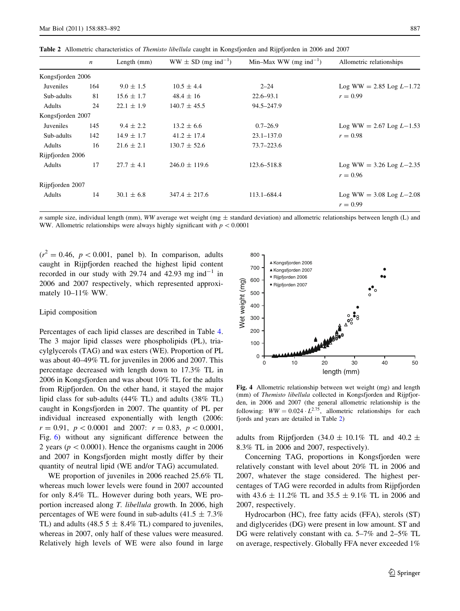|                   | $\boldsymbol{n}$ | Length $(mm)$  | $WW \pm SD$ (mg ind <sup>-1</sup> ) | Min–Max WW (mg ind <sup>-1</sup> ) | Allometric relationships     |
|-------------------|------------------|----------------|-------------------------------------|------------------------------------|------------------------------|
| Kongsfjorden 2006 |                  |                |                                     |                                    |                              |
| Juveniles         | 164              | $9.0 \pm 1.5$  | $10.5 \pm 4.4$                      | $2 - 24$                           | $Log WW = 2.85 Log L - 1.72$ |
| Sub-adults        | 81               | $15.6 \pm 1.7$ | $48.4 \pm 16$                       | $22.6 - 93.1$                      | $r = 0.99$                   |
| Adults            | 24               | $22.1 \pm 1.9$ | $140.7 \pm 45.5$                    | 94.5-247.9                         |                              |
| Kongsfjorden 2007 |                  |                |                                     |                                    |                              |
| Juveniles         | 145              | $9.4 \pm 2.2$  | $13.2 \pm 6.6$                      | $0.7 - 26.9$                       | Log WW = 2.67 Log $L-1.53$   |
| Sub-adults        | 142              | $14.9 \pm 1.7$ | $41.2 \pm 17.4$                     | $23.1 - 137.0$                     | $r = 0.98$                   |
| Adults            | 16               | $21.6 \pm 2.1$ | $130.7 \pm 52.6$                    | $73.7 - 223.6$                     |                              |
| Rijpfjorden 2006  |                  |                |                                     |                                    |                              |
| Adults            | 17               | $27.7 \pm 4.1$ | $246.0 \pm 119.6$                   | 123.6–518.8                        | Log WW = $3.26$ Log $L-2.35$ |
|                   |                  |                |                                     |                                    | $r = 0.96$                   |
| Rijpfjorden 2007  |                  |                |                                     |                                    |                              |
| Adults            | 14               | $30.1 \pm 6.8$ | $347.4 \pm 217.6$                   | 113.1-684.4                        | Log WW = $3.08$ Log $L-2.08$ |
|                   |                  |                |                                     |                                    | $r = 0.99$                   |

<span id="page-4-0"></span>Table 2 Allometric characteristics of *Themisto libellula* caught in Kongsfjorden and Rijpfjorden in 2006 and 2007

n sample size, individual length (mm), WW average wet weight (mg  $\pm$  standard deviation) and allometric relationships between length (L) and WW. Allometric relationships were always highly significant with  $p \lt 0.0001$ 

 $(r^2 = 0.46, p < 0.001,$  panel b). In comparison, adults caught in Rijpfjorden reached the highest lipid content recorded in our study with 29.74 and 42.93 mg ind<sup>-1</sup> in 2006 and 2007 respectively, which represented approximately 10–11% WW.

#### Lipid composition

Percentages of each lipid classes are described in Table [4.](#page-6-0) The 3 major lipid classes were phospholipids (PL), triacylglycerols (TAG) and wax esters (WE). Proportion of PL was about 40–49% TL for juveniles in 2006 and 2007. This percentage decreased with length down to 17.3% TL in 2006 in Kongsfjorden and was about 10% TL for the adults from Rijpfjorden. On the other hand, it stayed the major lipid class for sub-adults (44% TL) and adults (38% TL) caught in Kongsfjorden in 2007. The quantity of PL per individual increased exponentially with length (2006:  $r = 0.91$ ,  $p < 0.0001$  and 2007:  $r = 0.83$ ,  $p < 0.0001$ , Fig. [6](#page-6-0)) without any significant difference between the 2 years ( $p < 0.0001$ ). Hence the organisms caught in 2006 and 2007 in Kongsfjorden might mostly differ by their quantity of neutral lipid (WE and/or TAG) accumulated.

WE proportion of juveniles in 2006 reached 25.6% TL whereas much lower levels were found in 2007 accounted for only 8.4% TL. However during both years, WE proportion increased along T. libellula growth. In 2006, high percentages of WE were found in sub-adults (41.5  $\pm$  7.3%) TL) and adults (48.5  $5 \pm 8.4\%$  TL) compared to juveniles, whereas in 2007, only half of these values were measured. Relatively high levels of WE were also found in large



Fig. 4 Allometric relationship between wet weight (mg) and length (mm) of Themisto libellula collected in Kongsfjorden and Rijpfjorden, in 2006 and 2007 (the general allometric relationship is the following:  $WW = 0.024 \cdot L^{2.75}$ , allometric relationships for each fjords and years are detailed in Table 2)

adults from Rijpfjorden (34.0  $\pm$  10.1% TL and 40.2  $\pm$ 8.3% TL in 2006 and 2007, respectively).

Concerning TAG, proportions in Kongsfjorden were relatively constant with level about 20% TL in 2006 and 2007, whatever the stage considered. The highest percentages of TAG were recorded in adults from Rijpfjorden with  $43.6 \pm 11.2\%$  TL and  $35.5 \pm 9.1\%$  TL in 2006 and 2007, respectively.

Hydrocarbon (HC), free fatty acids (FFA), sterols (ST) and diglycerides (DG) were present in low amount. ST and DG were relatively constant with ca. 5–7% and 2–5% TL on average, respectively. Globally FFA never exceeded 1%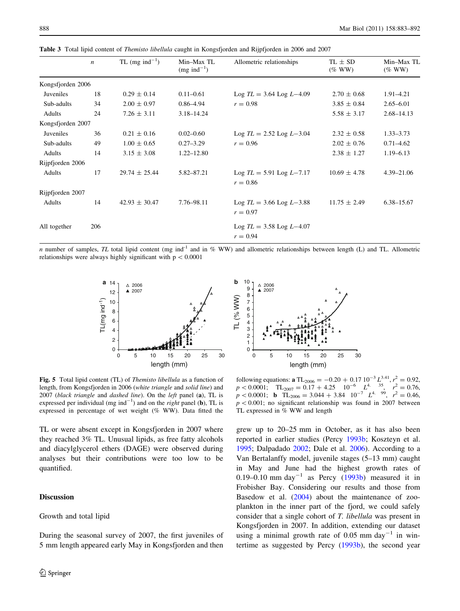|                   | $\boldsymbol{n}$ | TL (mg ind <sup>-1</sup> ) | Min-Max TL<br>$(mg \text{ ind}^{-1})$ | Allometric relationships                     | $TL \pm SD$<br>$(\%$ WW) | Min-Max TL<br>$(\%$ WW) |
|-------------------|------------------|----------------------------|---------------------------------------|----------------------------------------------|--------------------------|-------------------------|
| Kongsfjorden 2006 |                  |                            |                                       |                                              |                          |                         |
| Juveniles         | 18               | $0.29 \pm 0.14$            | $0.11 - 0.61$                         | $Log TL = 3.64 Log L-4.09$                   | $2.70 \pm 0.68$          | $1.91 - 4.21$           |
| Sub-adults        | 34               | $2.00 \pm 0.97$            | $0.86 - 4.94$                         | $r = 0.98$                                   | $3.85 \pm 0.84$          | $2.65 - 6.01$           |
| Adults            | 24               | $7.26 \pm 3.11$            | $3.18 - 14.24$                        |                                              | $5.58 \pm 3.17$          | $2.68 - 14.13$          |
| Kongsfjorden 2007 |                  |                            |                                       |                                              |                          |                         |
| Juveniles         | 36               | $0.21 \pm 0.16$            | $0.02 - 0.60$                         | Log $TL = 2.52$ Log $L-3.04$                 | $2.32 \pm 0.58$          | $1.33 - 3.73$           |
| Sub-adults        | 49               | $1.00 \pm 0.65$            | $0.27 - 3.29$                         | $r = 0.96$                                   | $2.02 \pm 0.76$          | $0.71 - 4.62$           |
| Adults            | 14               | $3.15 \pm 3.08$            | $1.22 - 12.80$                        |                                              | $2.38 \pm 1.27$          | $1.19 - 6.13$           |
| Rijpfjorden 2006  |                  |                            |                                       |                                              |                          |                         |
| Adults            | 17               | $29.74 \pm 25.44$          | 5.82-87.21                            | Log $TL = 5.91$ Log $L-7.17$<br>$r = 0.86$   | $10.69 \pm 4.78$         | 4.39-21.06              |
| Rijpfjorden 2007  |                  |                            |                                       |                                              |                          |                         |
| Adults            | 14               | $42.93 \pm 30.47$          | 7.76-98.11                            | Log $TL = 3.66$ Log $L - 3.88$<br>$r = 0.97$ | $11.75 \pm 2.49$         | $6.38 - 15.67$          |
| All together      | 206              |                            |                                       | $Log TL = 3.58 Log L-4.07$<br>$r = 0.94$     |                          |                         |

<span id="page-5-0"></span>Table 3 Total lipid content of Themisto libellula caught in Kongsfjorden and Rijpfjorden in 2006 and 2007

n number of samples, TL total lipid content (mg ind<sup>-1</sup> and in % WW) and allometric relationships between length (L) and TL. Allometric relationships were always highly significant with  $p < 0.0001$ 

10

2006

 $\Delta$ 



Fig. 5 Total lipid content (TL) of Themisto libellula as a function of length, from Kongsfjorden in 2006 (white triangle and solid line) and  $2007$  (black triangle and dashed line). On the left panel (a), TL is expressed per individual (mg ind<sup>-1</sup>) and on the *right* panel (**b**), TL is expressed in percentage of wet weight (% WW). Data fitted the

TL or were absent except in Kongsfjorden in 2007 where they reached 3% TL. Unusual lipids, as free fatty alcohols and diacylglycerol ethers (DAGE) were observed during analyses but their contributions were too low to be quantified.

# **Discussion**

### Growth and total lipid

During the seasonal survey of 2007, the first juveniles of 5 mm length appeared early May in Kongsfjorden and then



following equations: **a** TL<sub>2006</sub> = -0.20 + 0.17 10<sup>-3</sup> L<sup>3.41</sup>,  $r^2 = 0.92$ ,  $p < 0.0001$ ; TL<sub>2007</sub> =  $0.17 + 4.25$   $10^{-6}$   $L^4$ . <sup>35</sup>,  $r^2 = 0.76$ ,  $p < 0.0001$ ; **b** TL<sub>2006</sub> = 3.044 + 3.84 10<sup>-7</sup> L<sup>4. 99</sup>,  $r^2 = 0.46$ ,  $p<0.001$ ; no significant relationship was found in 2007 between TL expressed in % WW and length

grew up to 20–25 mm in October, as it has also been reported in earlier studies (Percy [1993b;](#page-9-0) Koszteyn et al. [1995](#page-8-0); Dalpadado [2002;](#page-8-0) Dale et al. [2006\)](#page-8-0). According to a Van Bertalanffy model, juvenile stages (5–13 mm) caught in May and June had the highest growth rates of 0.19–0.10 mm day<sup>-1</sup> as Percy  $(1993b)$  $(1993b)$  measured it in Frobisher Bay. Considering our results and those from Basedow et al. ([2004\)](#page-8-0) about the maintenance of zooplankton in the inner part of the fjord, we could safely consider that a single cohort of T. libellula was present in Kongsfjorden in 2007. In addition, extending our dataset using a minimal growth rate of  $0.05$  mm day<sup>-1</sup> in wintertime as suggested by Percy [\(1993b\)](#page-9-0), the second year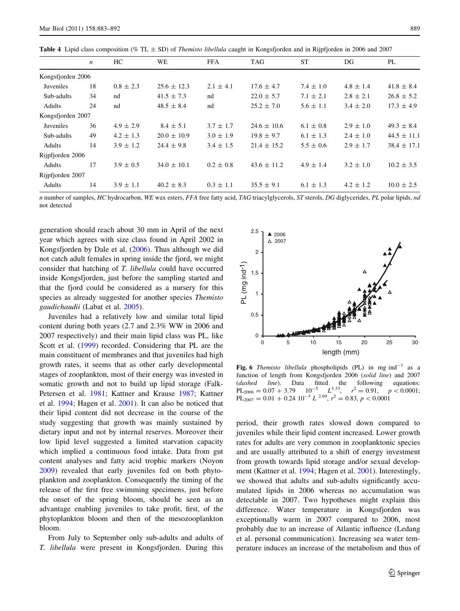<span id="page-6-0"></span>**Table 4** Lipid class composition (% TL  $\pm$  SD) of *Themisto libellula* caught in Kongsfjorden and in Rijpfjorden in 2006 and 2007

|                   | $\boldsymbol{n}$ | HC.           | WE              | FFA           | <b>TAG</b>      | <b>ST</b>     | DG            | PL              |
|-------------------|------------------|---------------|-----------------|---------------|-----------------|---------------|---------------|-----------------|
| Kongsfjorden 2006 |                  |               |                 |               |                 |               |               |                 |
| Juveniles         | 18               | $0.8 \pm 2.3$ | $25.6 \pm 12.3$ | $2.1 \pm 4.1$ | $17.6 \pm 4.7$  | $7.4 \pm 1.0$ | $4.8 \pm 1.4$ | $41.8 \pm 8.4$  |
| Sub-adults        | 34               | nd            | $41.5 \pm 7.3$  | nd            | $22.0 \pm 5.7$  | $7.1 \pm 2.1$ | $2.8 \pm 2.1$ | $26.8 \pm 5.2$  |
| Adults            | 24               | nd            | $48.5 \pm 8.4$  | nd            | $25.2 \pm 7.0$  | $5.6 \pm 1.1$ | $3.4 \pm 2.0$ | $17.3 \pm 4.9$  |
| Kongsfjorden 2007 |                  |               |                 |               |                 |               |               |                 |
| Juveniles         | 36               | $4.9 \pm 2.9$ | $8.4 \pm 5.1$   | $3.7 \pm 1.7$ | $24.6 \pm 10.6$ | $6.1 \pm 0.8$ | $2.9 \pm 1.0$ | $49.3 \pm 8.4$  |
| Sub-adults        | 49               | $4.2 \pm 1.3$ | $20.0 \pm 10.9$ | $3.0 \pm 1.9$ | $19.8 \pm 9.7$  | $6.1 \pm 1.3$ | $2.4 \pm 1.0$ | $44.5 \pm 11.1$ |
| Adults            | 14               | $3.9 \pm 1.2$ | $24.4 \pm 9.8$  | $3.4 \pm 1.5$ | $21.4 \pm 15.2$ | $5.5 \pm 0.6$ | $2.9 \pm 1.7$ | $38.4 \pm 17.1$ |
| Rijpfjorden 2006  |                  |               |                 |               |                 |               |               |                 |
| Adults            | 17               | $3.9 \pm 0.5$ | $34.0 \pm 10.1$ | $0.2 \pm 0.8$ | $43.6 \pm 11.2$ | $4.9 \pm 1.4$ | $3.2 \pm 1.0$ | $10.2 \pm 3.5$  |
| Rijpfjorden 2007  |                  |               |                 |               |                 |               |               |                 |
| Adults            | 14               | $3.9 \pm 1.1$ | $40.2 \pm 8.3$  | $0.3 \pm 1.1$ | $35.5 \pm 9.1$  | $6.1 \pm 1.3$ | $4.2 \pm 1.2$ | $10.0 \pm 2.5$  |

n number of samples, HC hydrocarbon, WE wax esters, FFA free fatty acid, TAG triacylglycerols, ST sterols, DG diglycerides, PL polar lipids, nd not detected

generation should reach about 30 mm in April of the next year which agrees with size class found in April 2002 in Kongsfjorden by Dale et al. [\(2006](#page-8-0)). Thus although we did not catch adult females in spring inside the fjord, we might consider that hatching of T. libellula could have occurred inside Kongsfjorden, just before the sampling started and that the fjord could be considered as a nursery for this species as already suggested for another species Themisto gaudichaudii (Labat et al. [2005](#page-8-0)).

Juveniles had a relatively low and similar total lipid content during both years (2.7 and 2.3% WW in 2006 and 2007 respectively) and their main lipid class was PL, like Scott et al. [\(1999](#page-9-0)) recorded. Considering that PL are the main constituent of membranes and that juveniles had high growth rates, it seems that as other early developmental stages of zooplankton, most of their energy was invested in somatic growth and not to build up lipid storage (Falk-Petersen et al. [1981](#page-8-0); Kattner and Krause [1987](#page-8-0); Kattner et al. [1994;](#page-8-0) Hagen et al. [2001\)](#page-8-0). It can also be noticed that their lipid content did not decrease in the course of the study suggesting that growth was mainly sustained by dietary input and not by internal reserves. Moreover their low lipid level suggested a limited starvation capacity which implied a continuous food intake. Data from gut content analyses and fatty acid trophic markers (Noyon [2009\)](#page-9-0) revealed that early juveniles fed on both phytoplankton and zooplankton. Consequently the timing of the release of the first free swimming specimens, just before the onset of the spring bloom, should be seen as an advantage enabling juveniles to take profit, first, of the phytoplankton bloom and then of the mesozooplankton bloom.

From July to September only sub-adults and adults of T. libellula were present in Kongsfjorden. During this



**Fig. 6** Themisto libellula phospholipids (PL) in mg ind<sup>-1</sup> as a function of length from Kongsfjorden 2006 (solid line) and 2007 (dashed line). Data fitted the following equations:<br>PL<sub>2006</sub> = 0.07 + 3.79 10<sup>-5</sup> L<sup>3.33</sup>,  $r^2$  = 0.91. n < 0.0001:  $PL_{2006} = 0.07 + 3.79$  $r^2 = 0.91$ ,  $p < 0.0001$ ;  $PL_{2007} = 0.01 + 0.24 \, 10^{-3} \, L^{2.69}, r^2 = 0.83, p < 0.0001$ 

period, their growth rates slowed down compared to juveniles while their lipid content increased. Lower growth rates for adults are very common in zooplanktonic species and are usually attributed to a shift of energy investment from growth towards lipid storage and/or sexual development (Kattner et al. [1994;](#page-8-0) Hagen et al. [2001\)](#page-8-0). Interestingly, we showed that adults and sub-adults significantly accumulated lipids in 2006 whereas no accumulation was detectable in 2007. Two hypotheses might explain this difference. Water temperature in Kongsfjorden was exceptionally warm in 2007 compared to 2006, most probably due to an increase of Atlantic influence (Ledang et al. personal communication). Increasing sea water temperature induces an increase of the metabolism and thus of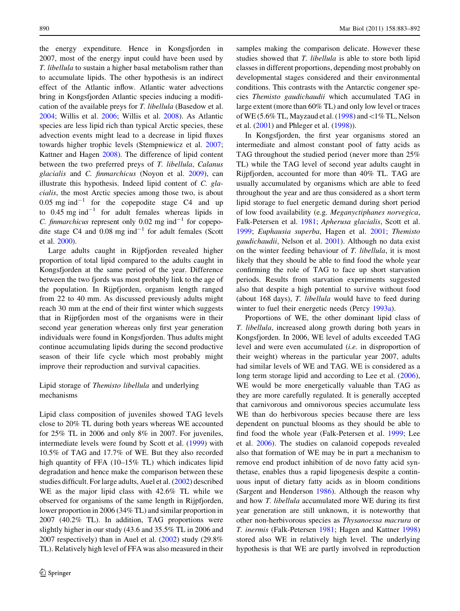the energy expenditure. Hence in Kongsfjorden in 2007, most of the energy input could have been used by T. libellula to sustain a higher basal metabolism rather than to accumulate lipids. The other hypothesis is an indirect effect of the Atlantic inflow. Atlantic water advections bring in Kongsfjorden Atlantic species inducing a modification of the available preys for T. libellula (Basedow et al. [2004;](#page-8-0) Willis et al. [2006](#page-9-0); Willis et al. [2008\)](#page-9-0). As Atlantic species are less lipid rich than typical Arctic species, these advection events might lead to a decrease in lipid fluxes towards higher trophic levels (Stempniewicz et al. [2007](#page-9-0); Kattner and Hagen [2008\)](#page-8-0). The difference of lipid content between the two preferred preys of T. libellula, Calanus glacialis and C. finmarchicus (Noyon et al. [2009](#page-9-0)), can illustrate this hypothesis. Indeed lipid content of C. glacialis, the most Arctic species among those two, is about  $0.05$  mg ind<sup>-1</sup> for the copepodite stage C4 and up to  $0.45$  mg ind<sup>-1</sup> for adult females whereas lipids in *C. finmarchicus* represent only 0.02 mg ind<sup>-1</sup> for copepodite stage C4 and  $0.08$  mg ind<sup>-1</sup> for adult females (Scott et al. [2000\)](#page-9-0).

Large adults caught in Rijpfjorden revealed higher proportion of total lipid compared to the adults caught in Kongsfjorden at the same period of the year. Difference between the two fjords was most probably link to the age of the population. In Rijpfjorden, organism length ranged from 22 to 40 mm. As discussed previously adults might reach 30 mm at the end of their first winter which suggests that in Rijpfjorden most of the organisms were in their second year generation whereas only first year generation individuals were found in Kongsfjorden. Thus adults might continue accumulating lipids during the second productive season of their life cycle which most probably might improve their reproduction and survival capacities.

# Lipid storage of Themisto libellula and underlying mechanisms

Lipid class composition of juveniles showed TAG levels close to 20% TL during both years whereas WE accounted for 25% TL in 2006 and only 8% in 2007. For juveniles, intermediate levels were found by Scott et al. ([1999\)](#page-9-0) with 10.5% of TAG and 17.7% of WE. But they also recorded high quantity of FFA (10–15% TL) which indicates lipid degradation and hence make the comparison between these studies difficult. For large adults, Auel et al. ([2002\)](#page-8-0) described WE as the major lipid class with 42.6% TL while we observed for organisms of the same length in Rijpfjorden, lower proportion in 2006 (34% TL) and similar proportion in 2007 (40.2% TL). In addition, TAG proportions were slightly higher in our study (43.6 and 35.5% TL in 2006 and 2007 respectively) than in Auel et al. ([2002\)](#page-8-0) study (29.8% TL). Relatively high level of FFA was also measured in their samples making the comparison delicate. However these studies showed that T. libellula is able to store both lipid classes in different proportions, depending most probably on developmental stages considered and their environmental conditions. This contrasts with the Antarctic congener species Themisto gaudichaudii which accumulated TAG in large extent (more than 60% TL) and only low level or traces of WE (5.6% TL, Mayzaud et al. [\(1998](#page-9-0)) and  $\lt 1\%$  TL, Nelson et al. [\(2001](#page-9-0)) and Phleger et al. ([1998\)](#page-9-0)).

In Kongsfjorden, the first year organisms stored an intermediate and almost constant pool of fatty acids as TAG throughout the studied period (never more than 25% TL) while the TAG level of second year adults caught in Rijpfjorden, accounted for more than 40% TL. TAG are usually accumulated by organisms which are able to feed throughout the year and are thus considered as a short term lipid storage to fuel energetic demand during short period of low food availability (e.g. Meganyctiphanes norvegica, Falk-Petersen et al. [1981;](#page-8-0) Apherusa glacialis, Scott et al. [1999](#page-9-0); Euphausia superba, Hagen et al. [2001;](#page-8-0) Themisto gaudichaudii, Nelson et al. [2001\)](#page-9-0). Although no data exist on the winter feeding behaviour of T. libellula, it is most likely that they should be able to find food the whole year confirming the role of TAG to face up short starvation periods. Results from starvation experiments suggested also that despite a high potential to survive without food (about 168 days), T. libellula would have to feed during winter to fuel their energetic needs (Percy [1993a\)](#page-9-0).

Proportions of WE, the other dominant lipid class of T. libellula, increased along growth during both years in Kongsfjorden. In 2006, WE level of adults exceeded TAG level and were even accumulated (i.e. in disproportion of their weight) whereas in the particular year 2007, adults had similar levels of WE and TAG. WE is considered as a long term storage lipid and according to Lee et al. [\(2006](#page-8-0)), WE would be more energetically valuable than TAG as they are more carefully regulated. It is generally accepted that carnivorous and omnivorous species accumulate less WE than do herbivorous species because there are less dependent on punctual blooms as they should be able to find food the whole year (Falk-Petersen et al. [1999](#page-8-0); Lee et al. [2006](#page-8-0)). The studies on calanoid copepods revealed also that formation of WE may be in part a mechanism to remove end product inhibition of de novo fatty acid synthetase, enables thus a rapid lipogenesis despite a continuous input of dietary fatty acids as in bloom conditions (Sargent and Henderson [1986](#page-9-0)). Although the reason why and how T. libellula accumulated more WE during its first year generation are still unknown, it is noteworthy that other non-herbivorous species as Thysanoessa macrura or T. inermis (Falk-Petersen [1981](#page-8-0); Hagen and Kattner [1998\)](#page-8-0) stored also WE in relatively high level. The underlying hypothesis is that WE are partly involved in reproduction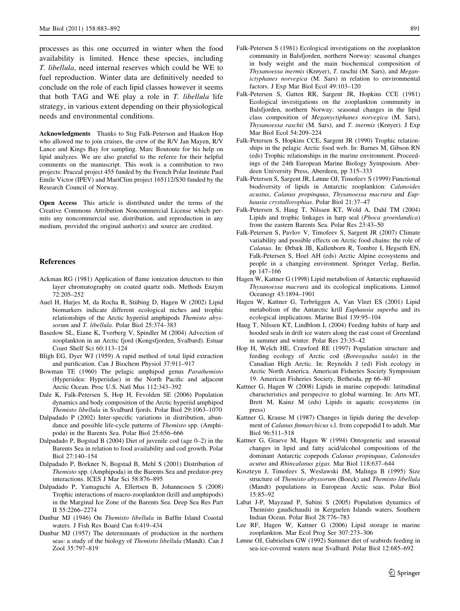<span id="page-8-0"></span>processes as this one occurred in winter when the food availability is limited. Hence these species, including T. libellula, need internal reserves which could be WE to fuel reproduction. Winter data are definitively needed to conclude on the role of each lipid classes however it seems that both TAG and WE play a role in T. libellula life strategy, in various extent depending on their physiological needs and environmental conditions.

Acknowledgments Thanks to Stig Falk-Peterson and Haakon Hop who allowed me to join cruises, the crew of the R/V Jan Mayen, R/V Lance and Kings Bay for sampling. Marc Boutoute for his help on lipid analyzes. We are also grateful to the referee for their helpful comments on the manuscript. This work is a contribution to two projects: Praceal project 455 funded by the French Polar Institute Paul Emile Victor (IPEV) and MariClim project 165112/S30 funded by the Research Council of Norway.

Open Access This article is distributed under the terms of the Creative Commons Attribution Noncommercial License which permits any noncommercial use, distribution, and reproduction in any medium, provided the original author(s) and source are credited.

#### References

- Ackman RG (1981) Application of flame ionization detectors to thin layer chromatography on coated quartz rods. Methods Enzym 72:205–252
- Auel H, Harjes M, da Rocha R, Stübing D, Hagen W (2002) Lipid biomarkers indicate different ecological niches and trophic relationships of the Arctic hyperiid amphipods Themisto abyssorum and T. libellula. Polar Biol 25:374–383
- Basedow SL, Eiane K, Tverberg V, Spindler M (2004) Advection of zooplankton in an Arctic fjord (Kongsfjorden, Svalbard). Estuar Coast Shelf Sci 60:113–124
- Bligh EG, Dyer WJ (1959) A rapid method of total lipid extraction and purification. Can J Biochem Physiol 37:911–917
- Bowman TE (1960) The pelagic amphipod genus Parathemisto (Hyperiidea: Hyperiidae) in the North Pacific and adjacent Arctic Ocean. Proc U.S. Natl Mus 112:343–392
- Dale K, Falk-Petersen S, Hop H, Fevolden SE (2006) Population dynamics and body composition of the Arctic hyperiid amphipod Themisto libellula in Svalbard fjords. Polar Biol 29:1063–1070
- Dalpadado P (2002) Inter-specific variations in distribution, abundance and possible life-cycle patterns of Themisto spp. (Amphipoda) in the Barents Sea. Polar Biol 25:656–666
- Dalpadado P, Bogstad B (2004) Diet of juvenile cod (age 0–2) in the Barents Sea in relation to food availability and cod growth. Polar Biol 27:140–154
- Dalpadado P, Borkner N, Bogstad B, Mehl S (2001) Distribution of Themisto spp. (Amphipoda) in the Barents Sea and predator-prey interactions. ICES J Mar Sci 58:876–895
- Dalpadado P, Yamaguchi A, Ellertsen B, Johannessen S (2008) Trophic interactions of macro-zooplankton (krill and amphipods) in the Marginal Ice Zone of the Barents Sea. Deep Sea Res Part II 55:2266–2274
- Dunbar MJ (1946) On Themisto libellula in Baffin Island Coastal waters. J Fish Res Board Can 6:419–434
- Dunbar MJ (1957) The determinants of production in the northern seas: a study of the biology of Themisto libellula (Mandt). Can J Zool 35:797–819
- Falk-Petersen S (1981) Ecological investigations on the zooplankton community in Balsfjorden, northern Norway: seasonal changes in body weight and the main biochemical composition of Thysanoessa inermis (Krøyer), T. raschii (M. Sars), and Meganictyphanes norvegica (M. Sars) in relation to environmental factors. J Exp Mar Biol Ecol 49:103–120
- Falk-Petersen S, Gatten RR, Sargent JR, Hopkins CCE (1981) Ecological investigations on the zooplankton community in Balsfjorden, northern Norway: seasonal changes in the lipid class composition of Meganyctiphanes norvegica (M. Sars), Thysanoessa raschii (M. Sars), and T. inermis (Krøyer). J Exp Mar Biol Ecol 54:209–224
- Falk-Petersen S, Hopkins CCE, Sargent JR (1990) Trophic relationships in the pelagic Arctic food web. In: Barnes M, Gibson RN (eds) Trophic relationships in the marine environment. Proceedings of the 24th European Marine Biology Symposium. Aberdeen University Press, Aberdeen, pp 315–333
- Falk-Petersen S, Sargent JR, Lønne OJ, Timofeev S (1999) Functional biodiversity of lipids in Antarctic zooplankton: Calanoides acustus, Calanus propinquus, Thysanoessa macrura and Euphausia crystallorophias. Polar Biol 21:37–47
- Falk-Petersen S, Haug T, Nilssen KT, Wold A, Dahl TM (2004) Lipids and trophic linkages in harp seal (Phoca groenlandica) from the eastern Barents Sea. Polar Res 23:43–50
- Falk-Petersen S, Pavlov V, Timofeev S, Sargent JR (2007) Climate variability and possible effects on Arctic food chains: the role of Calanus. In: Ørbæk JB, Kallenborn R, Tombre I, Hegseth EN, Falk-Petersen S, Hoel AH (eds) Arctic Alpine ecosystems and people in a changing environment. Springer Verlag, Berlin, pp 147–166
- Hagen W, Kattner G (1998) Lipid metabolism of Antarctic euphausiid Thysanoessa macrura and its ecological implications. Limnol Oceanogr 43:1894–1901
- Hagen W, Kattner G, Terbrüggen A, Van Vleet ES (2001) Lipid metabolism of the Antarctic krill Euphausia superba and its ecological implications. Marine Biol 139:95–104
- Haug T, Nilssen KT, Lindblom L (2004) Feeding habits of harp and hooded seals in drift ice waters along the east coast of Greenland in summer and winter. Polar Res 23:35–42
- Hop H, Welch HE, Crawford RE (1997) Population structure and feeding ecology of Arctic cod (Boreogadus saida) in the Canadian High Arctic. In: Reynolds J (ed) Fish ecology in Arctic North America. American Fisheries Society Symposium 19. American Fisheries Society, Bethesda, pp 66–80
- Kattner G, Hagen W (2008) Lipids in marine copepods: latitudinal characteristics and perspecive to global warming. In: Arts MT, Brett M, Kainz M (eds) Lipids in aquatic ecosystems (in press)
- Kattner G, Krause M (1987) Changes in lipids during the development of Calanus finmarchicus s.l. from copepodid I to adult. Mar Biol 96:511–518
- Kattner G, Graeve M, Hagen W (1994) Ontogenetic and seasonal changes in lipid and fatty acid/alcohol compositions of the dominant Antarctic copepods Calanus propinquus, Calanoides acutus and Rhincalanus gigas. Mar Biol 118:637–644
- Koszteyn J, Timofeev S, Weslawski JM, Malinga B (1995) Size structure of Themisto abyssorum (Boeck) and Themisto libellula (Mandt) populations in European Arctic seas. Polar Biol 15:85–92
- Labat J-P, Mayzaud P, Sabini S (2005) Population dynamics of Themisto gaudichaudii in Kerguelen Islands waters, Southern Indian Ocean. Polar Biol 28:776–783
- Lee RF, Hagen W, Kattner G (2006) Lipid storage in marine zooplankton. Mar Ecol Prog Ser 307:273–306
- Lønne OJ, Gabrielsen GW (1992) Summer diet of seabirds feeding in sea-ice-covered waters near Svalbard. Polar Biol 12:685–692